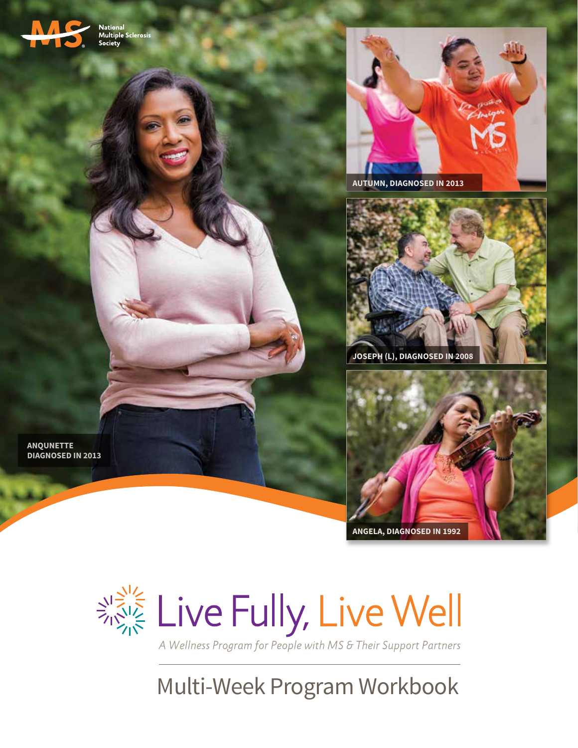

National<br>Multiple Sclerosis<br>Society



**AUTUMN, DIAGNOSED IN 2013**

**ANQUNETTE DIAGNOSED IN 2013**







A Wellness Program for People with MS & Their Support Partners

Multi-Week Program Workbook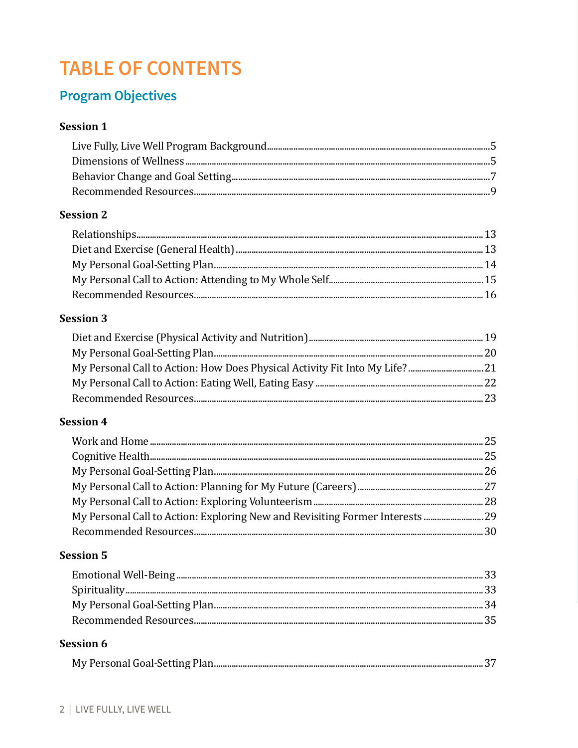# **TABLE OF CONTENTS**

## **Program Objectives**

## **Session 1**

## **Session 2**

## **Session 3**

### **Session 4**

### **Session 5**

### **Session 6**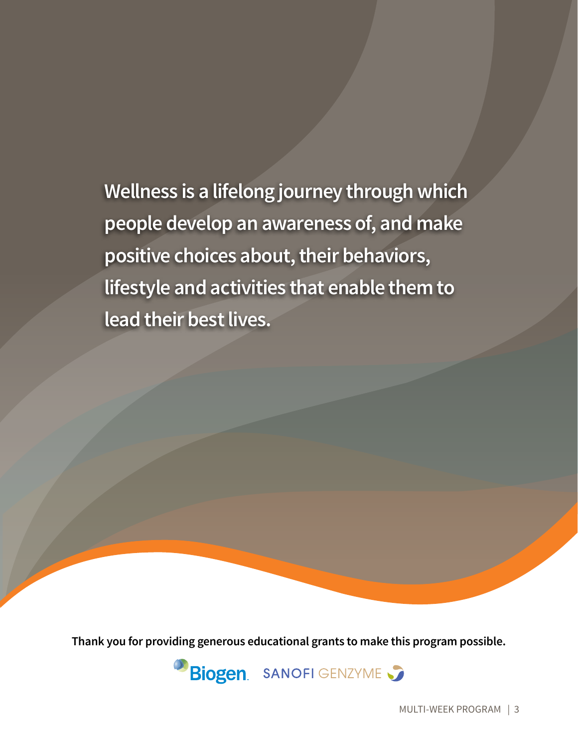**Wellness is a lifelong journey through which people develop an awareness of, and make positive choices about, their behaviors, lifestyle and activities that enable them to lead their best lives.**

**Thank you for providing generous educational grants to make this program possible.**

**Biogen** SANOFI GENZYME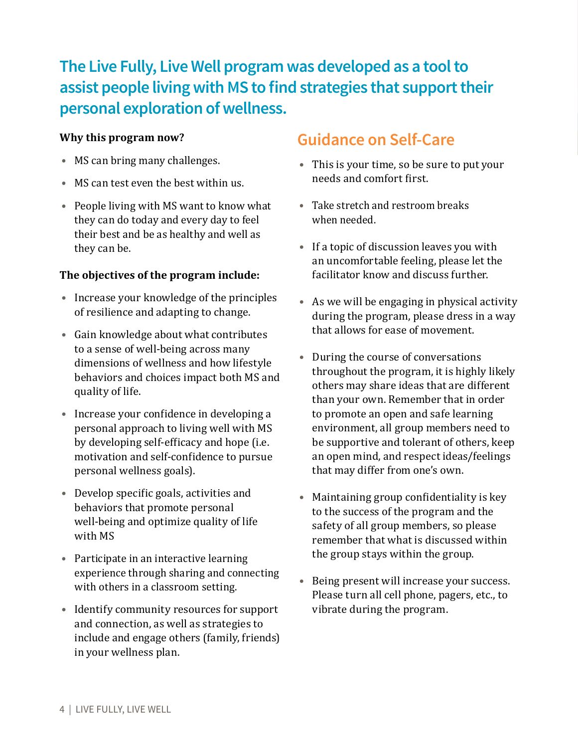# **The Live Fully, Live Well program was developed as a tool to assist people living with MS to find strategies that support their personal exploration of wellness.**

### **Why this program now?**

- **•** MS can bring many challenges.
- **•** MS can test even the best within us.
- **•** People living with MS want to know what they can do today and every day to feel their best and be as healthy and well as they can be.

### **The objectives of the program include:**

- **•** Increase your knowledge of the principles of resilience and adapting to change.
- **•** Gain knowledge about what contributes to a sense of well-being across many dimensions of wellness and how lifestyle behaviors and choices impact both MS and quality of life.
- **•** Increase your confidence in developing a personal approach to living well with MS by developing self-efficacy and hope (i.e. motivation and self-confidence to pursue personal wellness goals).
- **•** Develop specific goals, activities and behaviors that promote personal well-being and optimize quality of life with MS
- **•** Participate in an interactive learning experience through sharing and connecting with others in a classroom setting.
- **•** Identify community resources for support and connection, as well as strategies to include and engage others (family, friends) in your wellness plan.

# **Guidance on Self-Care**

- **•** This is your time, so be sure to put your needs and comfort first.
- **•** Take stretch and restroom breaks when needed.
- **•** If a topic of discussion leaves you with an uncomfortable feeling, please let the facilitator know and discuss further.
- **•** As we will be engaging in physical activity during the program, please dress in a way that allows for ease of movement.
- **•** During the course of conversations throughout the program, it is highly likely others may share ideas that are different than your own. Remember that in order to promote an open and safe learning environment, all group members need to be supportive and tolerant of others, keep an open mind, and respect ideas/feelings that may differ from one's own.
- **•** Maintaining group confidentiality is key to the success of the program and the safety of all group members, so please remember that what is discussed within the group stays within the group.
- **•** Being present will increase your success. Please turn all cell phone, pagers, etc., to vibrate during the program.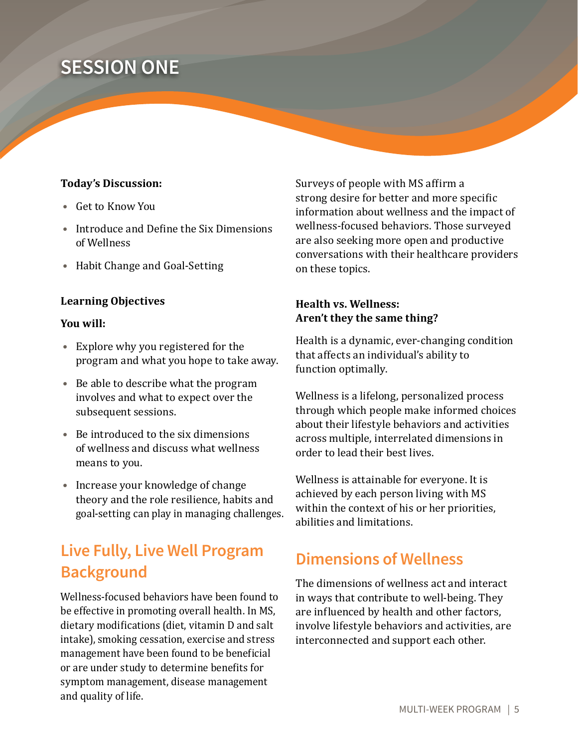# **SESSION ONE**

#### **Today's Discussion:**

- **•** Get to Know You
- **•** Introduce and Define the Six Dimensions of Wellness
- **•** Habit Change and Goal-Setting

#### **Learning Objectives**

#### **You will:**

- **•** Explore why you registered for the program and what you hope to take away.
- **•** Be able to describe what the program involves and what to expect over the subsequent sessions.
- **•** Be introduced to the six dimensions of wellness and discuss what wellness means to you.
- **•** Increase your knowledge of change theory and the role resilience, habits and goal-setting can play in managing challenges.

# **Live Fully, Live Well Program Background**

Wellness-focused behaviors have been found to be effective in promoting overall health. In MS, dietary modifications (diet, vitamin D and salt intake), smoking cessation, exercise and stress management have been found to be beneficial or are under study to determine benefits for symptom management, disease management and quality of life.

Surveys of people with MS affirm a strong desire for better and more specific information about wellness and the impact of wellness-focused behaviors. Those surveyed are also seeking more open and productive conversations with their healthcare providers on these topics.

### **Health vs. Wellness: Aren't they the same thing?**

Health is a dynamic, ever-changing condition that affects an individual's ability to function optimally.

Wellness is a lifelong, personalized process through which people make informed choices about their lifestyle behaviors and activities across multiple, interrelated dimensions in order to lead their best lives.

Wellness is attainable for everyone. It is achieved by each person living with MS within the context of his or her priorities, abilities and limitations.

## **Dimensions of Wellness**

The dimensions of wellness act and interact in ways that contribute to well-being. They are influenced by health and other factors, involve lifestyle behaviors and activities, are interconnected and support each other.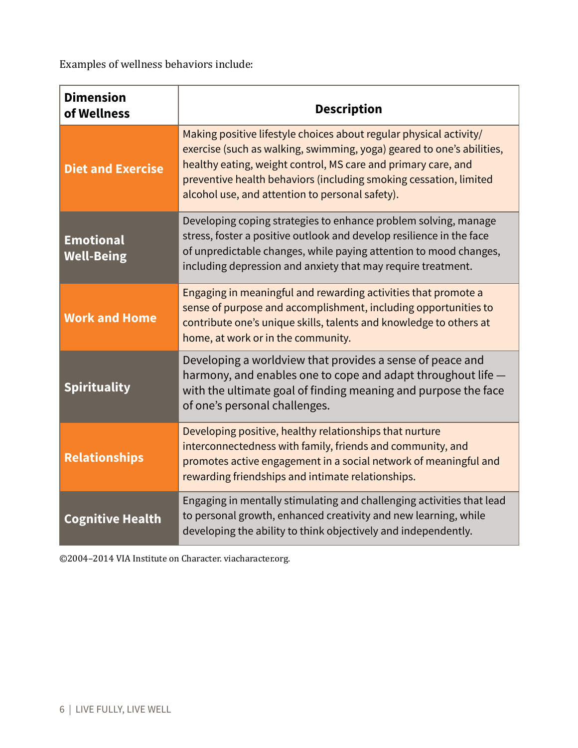Examples of wellness behaviors include:

| <b>Dimension</b><br>of Wellness       | <b>Description</b>                                                                                                                                                                                                                                                                                                                   |
|---------------------------------------|--------------------------------------------------------------------------------------------------------------------------------------------------------------------------------------------------------------------------------------------------------------------------------------------------------------------------------------|
| <b>Diet and Exercise</b>              | Making positive lifestyle choices about regular physical activity/<br>exercise (such as walking, swimming, yoga) geared to one's abilities,<br>healthy eating, weight control, MS care and primary care, and<br>preventive health behaviors (including smoking cessation, limited<br>alcohol use, and attention to personal safety). |
| <b>Emotional</b><br><b>Well-Being</b> | Developing coping strategies to enhance problem solving, manage<br>stress, foster a positive outlook and develop resilience in the face<br>of unpredictable changes, while paying attention to mood changes,<br>including depression and anxiety that may require treatment.                                                         |
| <b>Work and Home</b>                  | Engaging in meaningful and rewarding activities that promote a<br>sense of purpose and accomplishment, including opportunities to<br>contribute one's unique skills, talents and knowledge to others at<br>home, at work or in the community.                                                                                        |
| <b>Spirituality</b>                   | Developing a worldview that provides a sense of peace and<br>harmony, and enables one to cope and adapt throughout life -<br>with the ultimate goal of finding meaning and purpose the face<br>of one's personal challenges.                                                                                                         |
| <b>Relationships</b>                  | Developing positive, healthy relationships that nurture<br>interconnectedness with family, friends and community, and<br>promotes active engagement in a social network of meaningful and<br>rewarding friendships and intimate relationships.                                                                                       |
| <b>Cognitive Health</b>               | Engaging in mentally stimulating and challenging activities that lead<br>to personal growth, enhanced creativity and new learning, while<br>developing the ability to think objectively and independently.                                                                                                                           |

©2004–2014 VIA Institute on Character. viacharacter.org.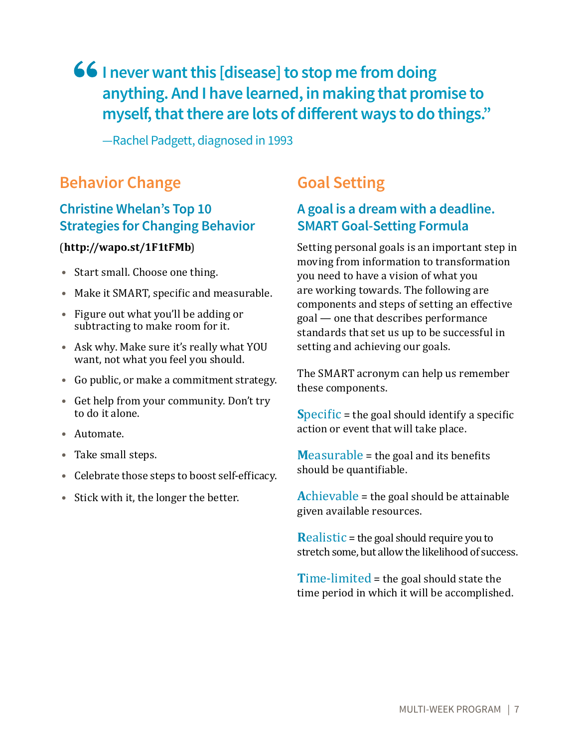# **66** I never want this [disease] to stop me from doing **anything. And I have learned, in making that promise to myself, that there are lots of different ways to do things."**

—Rachel Padgett, diagnosed in 1993

# **Behavior Change**

## **Christine Whelan's Top 10 Strategies for Changing Behavior**

### (**http://wapo.st/1F1tFMb**)

- **•** Start small. Choose one thing.
- **•** Make it SMART, specific and measurable.
- **•** Figure out what you'll be adding or subtracting to make room for it.
- **•** Ask why. Make sure it's really what YOU want, not what you feel you should.
- **•** Go public, or make a commitment strategy.
- **•** Get help from your community. Don't try to do it alone.
- **•** Automate.
- **•** Take small steps.
- **•** Celebrate those steps to boost self-efficacy.
- **•** Stick with it, the longer the better.

# **Goal Setting**

## **A goal is a dream with a deadline. SMART Goal-Setting Formula**

Setting personal goals is an important step in moving from information to transformation you need to have a vision of what you are working towards. The following are components and steps of setting an effective goal — one that describes performance standards that set us up to be successful in setting and achieving our goals.

The SMART acronym can help us remember these components.

**S**pecific = the goal should identify a specific action or event that will take place.

**M**easurable = the goal and its benefits should be quantifiable.

**A**chievable = the goal should be attainable given available resources.

**R**ealistic = the goal should require you to stretch some, but allow the likelihood of success.

**T**ime-limited = the goal should state the time period in which it will be accomplished.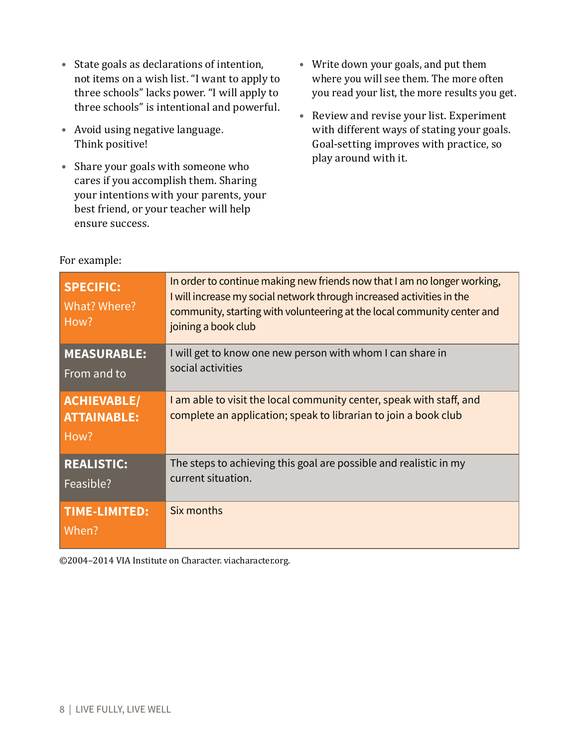- **•** State goals as declarations of intention, not items on a wish list. "I want to apply to three schools" lacks power. "I will apply to three schools" is intentional and powerful.
- **•** Avoid using negative language. Think positive!
- **•** Share your goals with someone who cares if you accomplish them. Sharing your intentions with your parents, your best friend, or your teacher will help ensure success.
- **•** Write down your goals, and put them where you will see them. The more often you read your list, the more results you get.
- **•** Review and revise your list. Experiment with different ways of stating your goals. Goal-setting improves with practice, so play around with it.

| <b>SPECIFIC:</b><br>What? Where?<br>How?         | In order to continue making new friends now that I am no longer working,<br>I will increase my social network through increased activities in the<br>community, starting with volunteering at the local community center and<br>joining a book club |
|--------------------------------------------------|-----------------------------------------------------------------------------------------------------------------------------------------------------------------------------------------------------------------------------------------------------|
| <b>MEASURABLE:</b><br>From and to                | I will get to know one new person with whom I can share in<br>social activities                                                                                                                                                                     |
| <b>ACHIEVABLE/</b><br><b>ATTAINABLE:</b><br>How? | I am able to visit the local community center, speak with staff, and<br>complete an application; speak to librarian to join a book club                                                                                                             |
| <b>REALISTIC:</b><br>Feasible?                   | The steps to achieving this goal are possible and realistic in my<br>current situation.                                                                                                                                                             |
| <b>TIME-LIMITED:</b><br>When?                    | Six months                                                                                                                                                                                                                                          |

For example:

©2004–2014 VIA Institute on Character. viacharacter.org.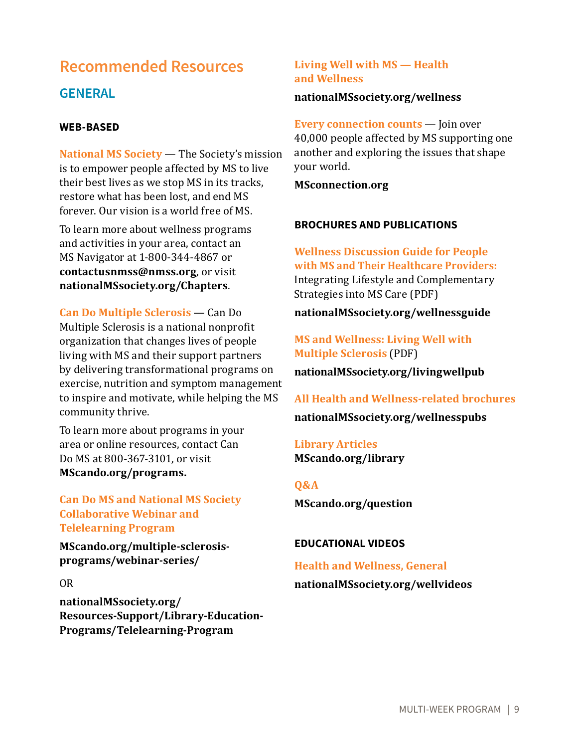# **Recommended Resources GENERAL**

#### **WEB-BASED**

**National MS Society** — The Society's mission is to empower people affected by MS to live their best lives as we stop MS in its tracks, restore what has been lost, and end MS forever. Our vision is a world free of MS.

To learn more about wellness programs and activities in your area, contact an MS Navigator at 1-800-344-4867 or **contactusnmss@nmss.org**, or visit **nationalMSsociety.org/Chapters**.

**Can Do Multiple Sclerosis** — Can Do Multiple Sclerosis is a national nonprofit organization that changes lives of people living with MS and their support partners by delivering transformational programs on exercise, nutrition and symptom management to inspire and motivate, while helping the MS community thrive.

To learn more about programs in your area or online resources, contact Can Do MS at 800-367-3101, or visit **MScando.org/programs.**

**Can Do MS and National MS Society Collaborative Webinar and Telelearning Program**

**MScando.org/multiple-sclerosisprograms/webinar-series/**

#### OR

**nationalMSsociety.org/ Resources-Support/Library-Education-Programs/Telelearning-Program**

### **Living Well with MS — Health and Wellness**

#### **nationalMSsociety.org/wellness**

**Every connection counts** — Join over 40,000 people affected by MS supporting one another and exploring the issues that shape your world.

**MSconnection.org** 

#### **BROCHURES AND PUBLICATIONS**

**Wellness Discussion Guide for People with MS and Their Healthcare Providers:** Integrating Lifestyle and Complementary Strategies into MS Care (PDF)

### **nationalMSsociety.org/wellnessguide**

### **MS and Wellness: Living Well with Multiple Sclerosis** (PDF)

**nationalMSsociety.org/livingwellpub**

**All Health and Wellness-related brochures nationalMSsociety.org/wellnesspubs**

**Library Articles MScando.org/library**

#### **Q&A**

**MScando.org/question**

#### **EDUCATIONAL VIDEOS**

### **Health and Wellness, General nationalMSsociety.org/wellvideos**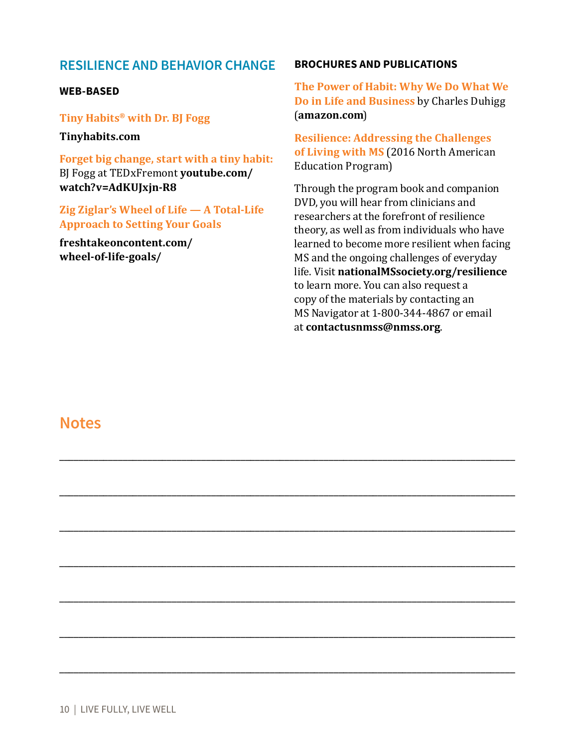### **RESILIENCE AND BEHAVIOR CHANGE**

#### **WEB-BASED**

**Tiny Habits® with Dr. BJ Fogg** 

**Tinyhabits.com**

**Forget big change, start with a tiny habit:**  BJ Fogg at TEDxFremont **youtube.com/ watch?v=AdKUJxjn-R8**

**Zig Ziglar's Wheel of Life — A Total-Life Approach to Setting Your Goals**

**freshtakeoncontent.com/ wheel-of-life-goals/**

#### **BROCHURES AND PUBLICATIONS**

**The Power of Habit: Why We Do What We Do in Life and Business** by Charles Duhigg (**amazon.com**)

**Resilience: Addressing the Challenges of Living with MS** (2016 North American Education Program)

Through the program book and companion DVD, you will hear from clinicians and researchers at the forefront of resilience theory, as well as from individuals who have learned to become more resilient when facing MS and the ongoing challenges of everyday life. Visit **nationalMSsociety.org/resilience** to learn more. You can also request a copy of the materials by contacting an MS Navigator at 1-800-344-4867 or email at **contactusnmss@nmss.org**.

\_\_\_\_\_\_\_\_\_\_\_\_\_\_\_\_\_\_\_\_\_\_\_\_\_\_\_\_\_\_\_\_\_\_\_\_\_\_\_\_\_\_\_\_\_\_\_\_\_\_\_\_\_\_\_\_\_\_\_\_\_\_\_\_\_\_\_\_\_\_\_\_\_\_\_\_\_\_\_\_\_\_\_\_\_\_\_\_\_\_\_\_\_

\_\_\_\_\_\_\_\_\_\_\_\_\_\_\_\_\_\_\_\_\_\_\_\_\_\_\_\_\_\_\_\_\_\_\_\_\_\_\_\_\_\_\_\_\_\_\_\_\_\_\_\_\_\_\_\_\_\_\_\_\_\_\_\_\_\_\_\_\_\_\_\_\_\_\_\_\_\_\_\_\_\_\_\_\_\_\_\_\_\_\_\_\_

\_\_\_\_\_\_\_\_\_\_\_\_\_\_\_\_\_\_\_\_\_\_\_\_\_\_\_\_\_\_\_\_\_\_\_\_\_\_\_\_\_\_\_\_\_\_\_\_\_\_\_\_\_\_\_\_\_\_\_\_\_\_\_\_\_\_\_\_\_\_\_\_\_\_\_\_\_\_\_\_\_\_\_\_\_\_\_\_\_\_\_\_\_

\_\_\_\_\_\_\_\_\_\_\_\_\_\_\_\_\_\_\_\_\_\_\_\_\_\_\_\_\_\_\_\_\_\_\_\_\_\_\_\_\_\_\_\_\_\_\_\_\_\_\_\_\_\_\_\_\_\_\_\_\_\_\_\_\_\_\_\_\_\_\_\_\_\_\_\_\_\_\_\_\_\_\_\_\_\_\_\_\_\_\_\_\_

\_\_\_\_\_\_\_\_\_\_\_\_\_\_\_\_\_\_\_\_\_\_\_\_\_\_\_\_\_\_\_\_\_\_\_\_\_\_\_\_\_\_\_\_\_\_\_\_\_\_\_\_\_\_\_\_\_\_\_\_\_\_\_\_\_\_\_\_\_\_\_\_\_\_\_\_\_\_\_\_\_\_\_\_\_\_\_\_\_\_\_\_\_

\_\_\_\_\_\_\_\_\_\_\_\_\_\_\_\_\_\_\_\_\_\_\_\_\_\_\_\_\_\_\_\_\_\_\_\_\_\_\_\_\_\_\_\_\_\_\_\_\_\_\_\_\_\_\_\_\_\_\_\_\_\_\_\_\_\_\_\_\_\_\_\_\_\_\_\_\_\_\_\_\_\_\_\_\_\_\_\_\_\_\_\_\_

\_\_\_\_\_\_\_\_\_\_\_\_\_\_\_\_\_\_\_\_\_\_\_\_\_\_\_\_\_\_\_\_\_\_\_\_\_\_\_\_\_\_\_\_\_\_\_\_\_\_\_\_\_\_\_\_\_\_\_\_\_\_\_\_\_\_\_\_\_\_\_\_\_\_\_\_\_\_\_\_\_\_\_\_\_\_\_\_\_\_\_\_\_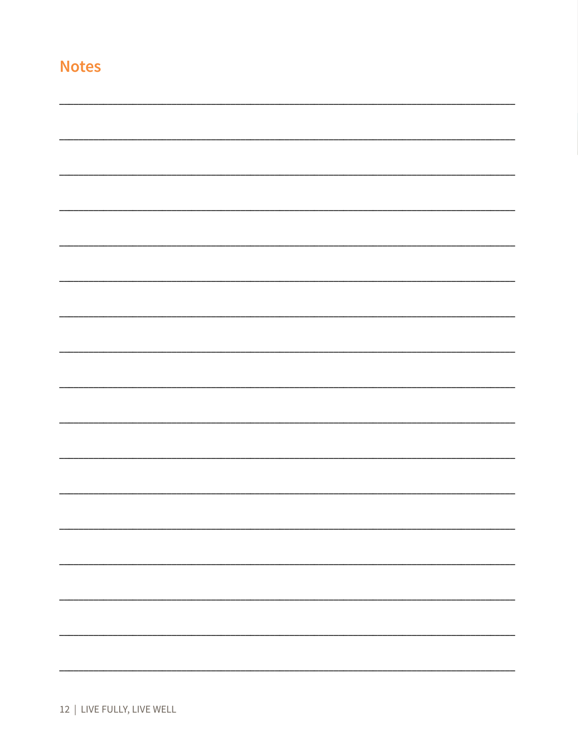|  |  | 12   LIVE FULLY, LIVE WELL |  |  |
|--|--|----------------------------|--|--|
|--|--|----------------------------|--|--|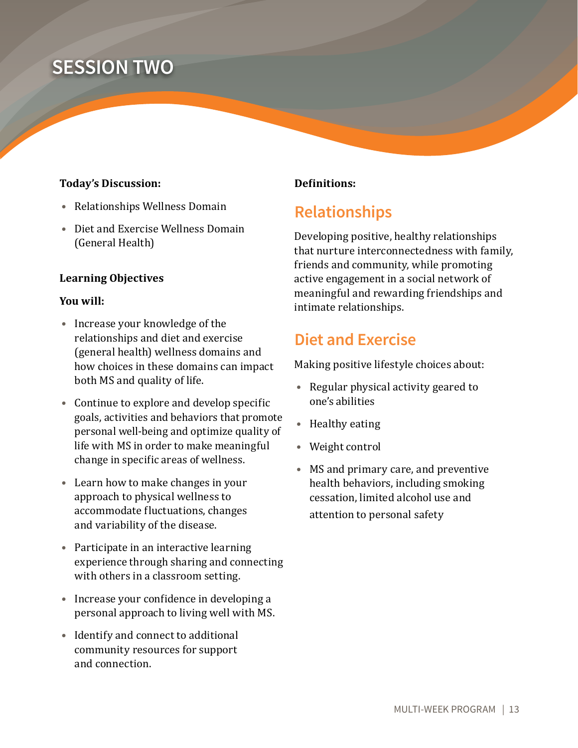# **SESSION TWO**

#### **Today's Discussion:**

- **•** Relationships Wellness Domain
- **•** Diet and Exercise Wellness Domain (General Health)

#### **Learning Objectives**

#### **You will:**

- **•** Increase your knowledge of the relationships and diet and exercise (general health) wellness domains and how choices in these domains can impact both MS and quality of life.
- **•** Continue to explore and develop specific goals, activities and behaviors that promote personal well-being and optimize quality of life with MS in order to make meaningful change in specific areas of wellness.
- **•** Learn how to make changes in your approach to physical wellness to accommodate fluctuations, changes and variability of the disease.
- **•** Participate in an interactive learning experience through sharing and connecting with others in a classroom setting.
- **•** Increase your confidence in developing a personal approach to living well with MS.
- **•** Identify and connect to additional community resources for support and connection.

### **Definitions:**

# **Relationships**

Developing positive, healthy relationships that nurture interconnectedness with family, friends and community, while promoting active engagement in a social network of meaningful and rewarding friendships and intimate relationships.

## **Diet and Exercise**

Making positive lifestyle choices about:

- **•** Regular physical activity geared to one's abilities
- **•** Healthy eating
- **•** Weight control
- **•** MS and primary care, and preventive health behaviors, including smoking cessation, limited alcohol use and attention to personal safety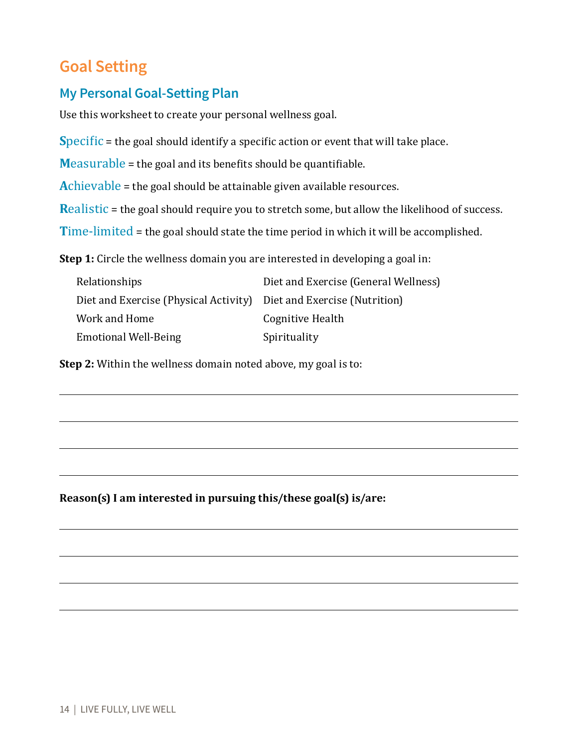# **Goal Setting**

## **My Personal Goal-Setting Plan**

Use this worksheet to create your personal wellness goal.

**Specific** = the goal should identify a specific action or event that will take place.

**M**easurable = the goal and its benefits should be quantifiable.

**A**chievable = the goal should be attainable given available resources.

**Realistic** = the goal should require you to stretch some, but allow the likelihood of success.

**T**ime-limited = the goal should state the time period in which it will be accomplished.

**Step 1:** Circle the wellness domain you are interested in developing a goal in:

| Relationships                                                       | Diet and Exercise (General Wellness) |
|---------------------------------------------------------------------|--------------------------------------|
| Diet and Exercise (Physical Activity) Diet and Exercise (Nutrition) |                                      |
| Work and Home                                                       | Cognitive Health                     |
| <b>Emotional Well-Being</b>                                         | Spirituality                         |

**Step 2:** Within the wellness domain noted above, my goal is to:

**Reason(s) I am interested in pursuing this/these goal(s) is/are:**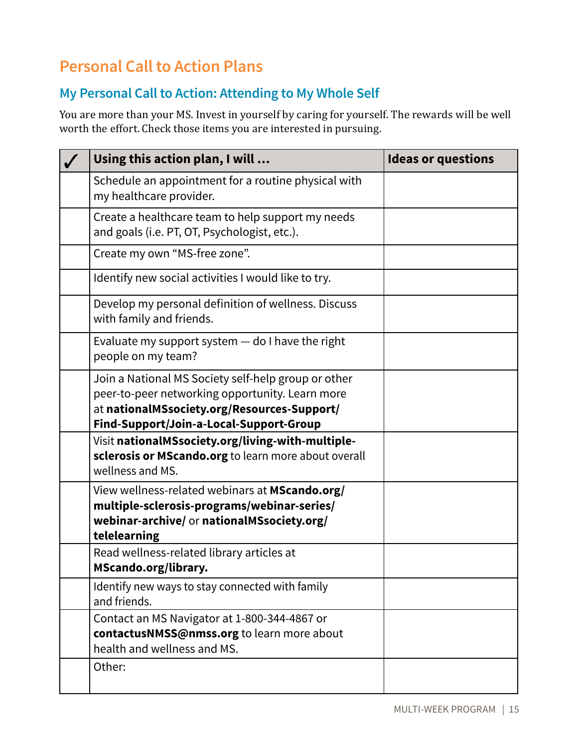# **Personal Call to Action Plans**

## **My Personal Call to Action: Attending to My Whole Self**

| Using this action plan, I will                                                                                                                                                                   | <b>Ideas or questions</b> |
|--------------------------------------------------------------------------------------------------------------------------------------------------------------------------------------------------|---------------------------|
| Schedule an appointment for a routine physical with<br>my healthcare provider.                                                                                                                   |                           |
| Create a healthcare team to help support my needs<br>and goals (i.e. PT, OT, Psychologist, etc.).                                                                                                |                           |
| Create my own "MS-free zone".                                                                                                                                                                    |                           |
| Identify new social activities I would like to try.                                                                                                                                              |                           |
| Develop my personal definition of wellness. Discuss<br>with family and friends.                                                                                                                  |                           |
| Evaluate my support system $-$ do I have the right<br>people on my team?                                                                                                                         |                           |
| Join a National MS Society self-help group or other<br>peer-to-peer networking opportunity. Learn more<br>at nationalMSsociety.org/Resources-Support/<br>Find-Support/Join-a-Local-Support-Group |                           |
| Visit nationalMSsociety.org/living-with-multiple-<br>sclerosis or MScando.org to learn more about overall<br>wellness and MS.                                                                    |                           |
| View wellness-related webinars at MScando.org/<br>multiple-sclerosis-programs/webinar-series/<br>webinar-archive/ or nationalMSsociety.org/<br>telelearning                                      |                           |
| Read wellness-related library articles at<br>MScando.org/library.                                                                                                                                |                           |
| Identify new ways to stay connected with family<br>and friends.                                                                                                                                  |                           |
| Contact an MS Navigator at 1-800-344-4867 or<br>contactusNMSS@nmss.org to learn more about<br>health and wellness and MS.                                                                        |                           |
| Other:                                                                                                                                                                                           |                           |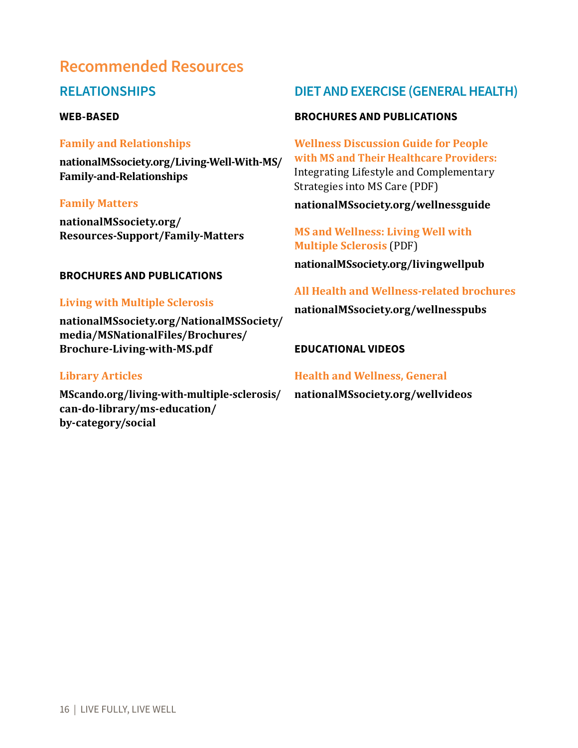## **Recommended Resources**

### **RELATIONSHIPS**

#### **WEB-BASED**

#### **Family and Relationships**

**nationalMSsociety.org/Living-Well-With-MS/ Family-and-Relationships**

#### **Family Matters**

**nationalMSsociety.org/ Resources-Support/Family-Matters**

#### **BROCHURES AND PUBLICATIONS**

#### **Living with Multiple Sclerosis**

**nationalMSsociety.org/NationalMSSociety/ media/MSNationalFiles/Brochures/ Brochure-Living-with-MS.pdf**

#### **Library Articles**

**MScando.org/living-with-multiple-sclerosis/ can-do-library/ms-education/ by-category/social**

### **DIET AND EXERCISE (GENERAL HEALTH)**

#### **BROCHURES AND PUBLICATIONS**

**Wellness Discussion Guide for People with MS and Their Healthcare Providers:**  Integrating Lifestyle and Complementary Strategies into MS Care (PDF)

**nationalMSsociety.org/wellnessguide**

**MS and Wellness: Living Well with Multiple Sclerosis** (PDF)

**nationalMSsociety.org/livingwellpub**

#### **All Health and Wellness-related brochures**

**nationalMSsociety.org/wellnesspubs**

#### **EDUCATIONAL VIDEOS**

#### **Health and Wellness, General**

**nationalMSsociety.org/wellvideos**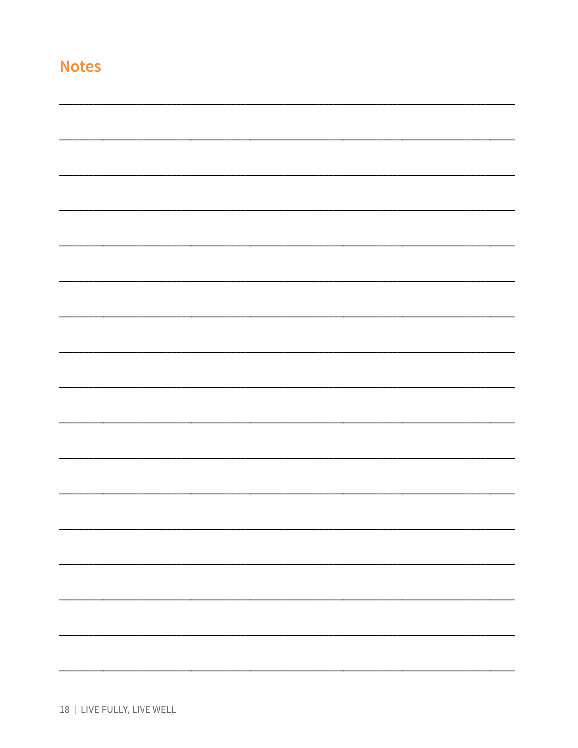18 | LIVE FULLY, LIVE WELL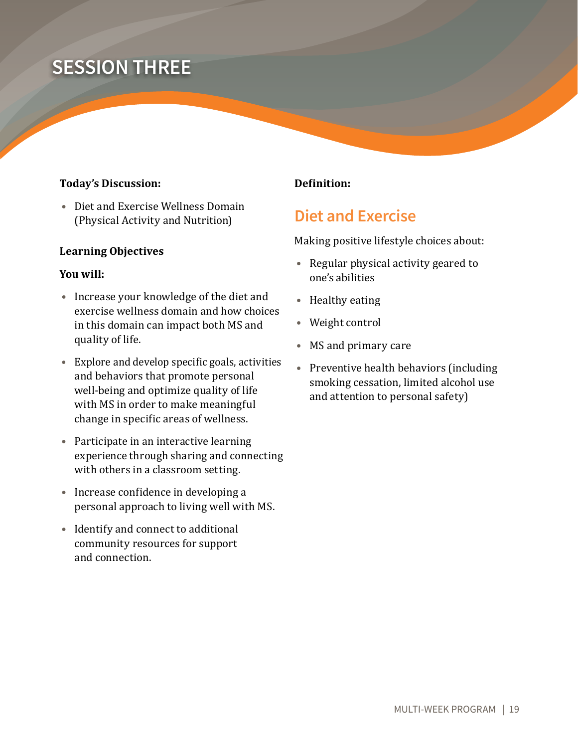# **SESSION THREE**

#### **Today's Discussion:**

**•** Diet and Exercise Wellness Domain (Physical Activity and Nutrition)

#### **Learning Objectives**

#### **You will:**

- **•** Increase your knowledge of the diet and exercise wellness domain and how choices in this domain can impact both MS and quality of life.
- **•** Explore and develop specific goals, activities and behaviors that promote personal well-being and optimize quality of life with MS in order to make meaningful change in specific areas of wellness.
- **•** Participate in an interactive learning experience through sharing and connecting with others in a classroom setting.
- **•** Increase confidence in developing a personal approach to living well with MS.
- **•** Identify and connect to additional community resources for support and connection.

#### **Definition:**

## **Diet and Exercise**

Making positive lifestyle choices about:

- **•** Regular physical activity geared to one's abilities
- **•** Healthy eating
- **•** Weight control
- **•** MS and primary care
- **•** Preventive health behaviors (including smoking cessation, limited alcohol use and attention to personal safety)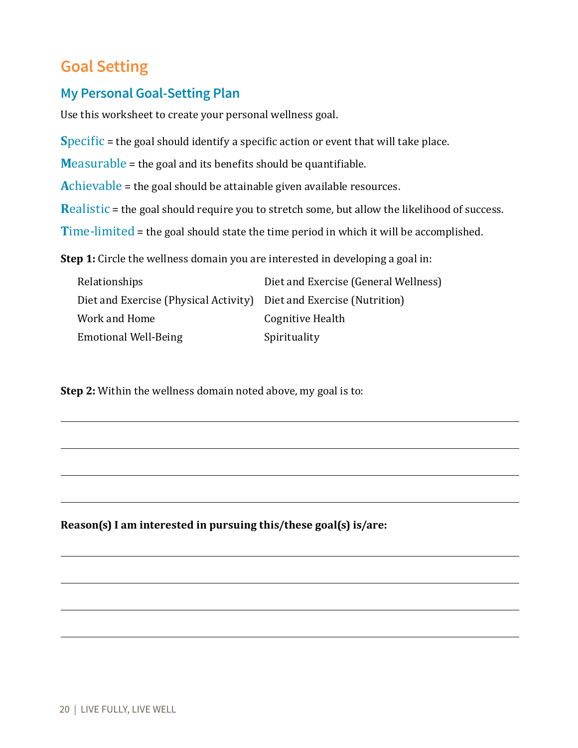# **Goal Setting**

## **My Personal Goal-Setting Plan**

Use this worksheet to create your personal wellness goal.

**S**pecific = the goal should identify a specific action or event that will take place.

**M**easurable = the goal and its benefits should be quantifiable.

**A**chievable = the goal should be attainable given available resources.

**Realistic = the goal should require you to stretch some, but allow the likelihood of success.** 

**Time-limited = the goal should state the time period in which it will be accomplished.** 

**Step 1:** Circle the wellness domain you are interested in developing a goal in:

| <b>Relationships</b>                                                | Diet and Exercise (General Wellness) |
|---------------------------------------------------------------------|--------------------------------------|
| Diet and Exercise (Physical Activity) Diet and Exercise (Nutrition) |                                      |
| Work and Home                                                       | Cognitive Health                     |
| <b>Emotional Well-Being</b>                                         | Spirituality                         |

**Step 2:** Within the wellness domain noted above, my goal is to:

**Reason(s) I am interested in pursuing this/these goal(s) is/are:**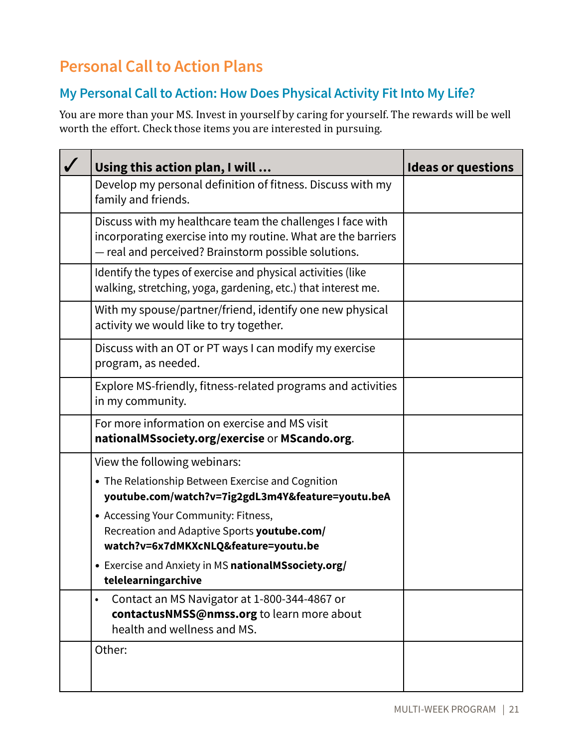# **Personal Call to Action Plans**

## **My Personal Call to Action: How Does Physical Activity Fit Into My Life?**

| Using this action plan, I will                                                                                                                                                      | <b>Ideas or questions</b> |
|-------------------------------------------------------------------------------------------------------------------------------------------------------------------------------------|---------------------------|
| Develop my personal definition of fitness. Discuss with my<br>family and friends.                                                                                                   |                           |
| Discuss with my healthcare team the challenges I face with<br>incorporating exercise into my routine. What are the barriers<br>- real and perceived? Brainstorm possible solutions. |                           |
| Identify the types of exercise and physical activities (like<br>walking, stretching, yoga, gardening, etc.) that interest me.                                                       |                           |
| With my spouse/partner/friend, identify one new physical<br>activity we would like to try together.                                                                                 |                           |
| Discuss with an OT or PT ways I can modify my exercise<br>program, as needed.                                                                                                       |                           |
| Explore MS-friendly, fitness-related programs and activities<br>in my community.                                                                                                    |                           |
| For more information on exercise and MS visit<br>nationalMSsociety.org/exercise or MScando.org.                                                                                     |                           |
| View the following webinars:                                                                                                                                                        |                           |
| • The Relationship Between Exercise and Cognition<br>youtube.com/watch?v=7ig2gdL3m4Y&feature=youtu.beA                                                                              |                           |
| • Accessing Your Community: Fitness,<br>Recreation and Adaptive Sports youtube.com/<br>watch?v=6x7dMKXcNLQ&feature=youtu.be                                                         |                           |
| • Exercise and Anxiety in MS nationalMSsociety.org/<br>telelearningarchive                                                                                                          |                           |
| Contact an MS Navigator at 1-800-344-4867 or<br>$\bullet$<br>contactusNMSS@nmss.org to learn more about<br>health and wellness and MS.                                              |                           |
| Other:                                                                                                                                                                              |                           |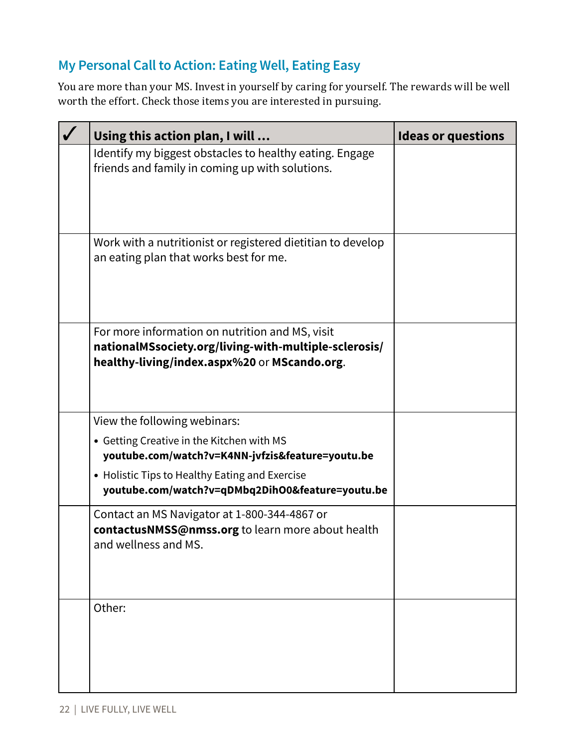## **My Personal Call to Action: Eating Well, Eating Easy**

| Using this action plan, I will                                                                                                                                                                                                      | <b>Ideas or questions</b> |
|-------------------------------------------------------------------------------------------------------------------------------------------------------------------------------------------------------------------------------------|---------------------------|
| Identify my biggest obstacles to healthy eating. Engage<br>friends and family in coming up with solutions.                                                                                                                          |                           |
| Work with a nutritionist or registered dietitian to develop<br>an eating plan that works best for me.                                                                                                                               |                           |
| For more information on nutrition and MS, visit<br>nationalMSsociety.org/living-with-multiple-sclerosis/<br>healthy-living/index.aspx%20 or MScando.org.                                                                            |                           |
| View the following webinars:<br>• Getting Creative in the Kitchen with MS<br>youtube.com/watch?v=K4NN-jvfzis&feature=youtu.be<br>• Holistic Tips to Healthy Eating and Exercise<br>youtube.com/watch?v=qDMbq2DihO0&feature=youtu.be |                           |
| Contact an MS Navigator at 1-800-344-4867 or<br>contactusNMSS@nmss.org to learn more about health<br>and wellness and MS.                                                                                                           |                           |
| Other:                                                                                                                                                                                                                              |                           |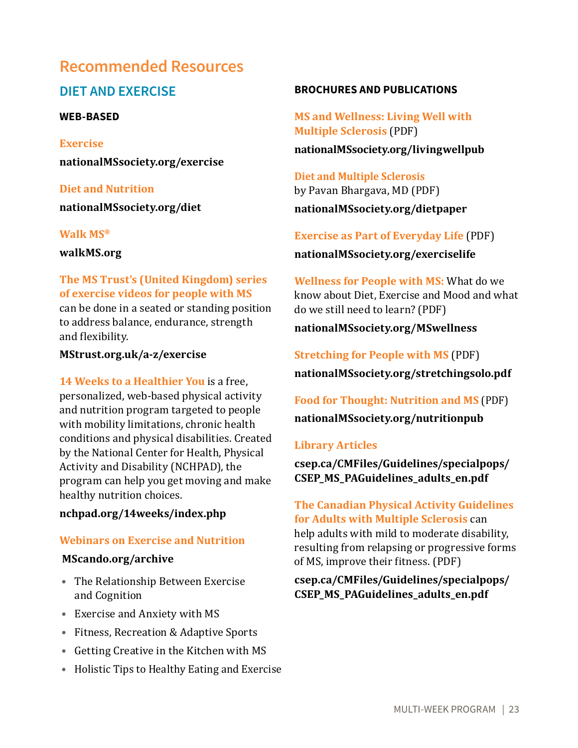# **Recommended Resources**

## **DIET AND EXERCISE**

#### **WEB-BASED**

**Exercise nationalMSsociety.org/exercise**

**Diet and Nutrition nationalMSsociety.org/diet**

#### **Walk MS®**

**walkMS.org**

#### **The MS Trust's (United Kingdom) series of exercise videos for people with MS**

can be done in a seated or standing position to address balance, endurance, strength and flexibility.

#### **MStrust.org.uk/a-z/exercise**

**14 Weeks to a Healthier You** is a free, personalized, web-based physical activity and nutrition program targeted to people with mobility limitations, chronic health conditions and physical disabilities. Created by the National Center for Health, Physical Activity and Disability (NCHPAD), the program can help you get moving and make healthy nutrition choices.

#### **nchpad.org/14weeks/index.php**

### **Webinars on Exercise and Nutrition**

#### **MScando.org/archive**

- **•** The Relationship Between Exercise and Cognition
- **•** Exercise and Anxiety with MS
- **•** Fitness, Recreation & Adaptive Sports
- **•** Getting Creative in the Kitchen with MS
- **•** Holistic Tips to Healthy Eating and Exercise

#### **BROCHURES AND PUBLICATIONS**

**MS and Wellness: Living Well with Multiple Sclerosis** (PDF) **nationalMSsociety.org/livingwellpub**

**Diet and Multiple Sclerosis** by Pavan Bhargava, MD (PDF) **nationalMSsociety.org/dietpaper**

## **Exercise as Part of Everyday Life** (PDF) **nationalMSsociety.org/exerciselife**

**Wellness for People with MS:** What do we know about Diet, Exercise and Mood and what do we still need to learn? (PDF)

### **nationalMSsociety.org/MSwellness**

**Stretching for People with MS** (PDF) **nationalMSsociety.org/stretchingsolo.pdf** 

**Food for Thought: Nutrition and MS** (PDF) **nationalMSsociety.org/nutritionpub** 

#### **Library Articles**

**csep.ca/CMFiles/Guidelines/specialpops/ CSEP\_MS\_PAGuidelines\_adults\_en.pdf**

### **The Canadian Physical Activity Guidelines for Adults with Multiple Sclerosis** can help adults with mild to moderate disability, resulting from relapsing or progressive forms

of MS, improve their fitness. (PDF)

### **csep.ca/CMFiles/Guidelines/specialpops/ CSEP\_MS\_PAGuidelines\_adults\_en.pdf**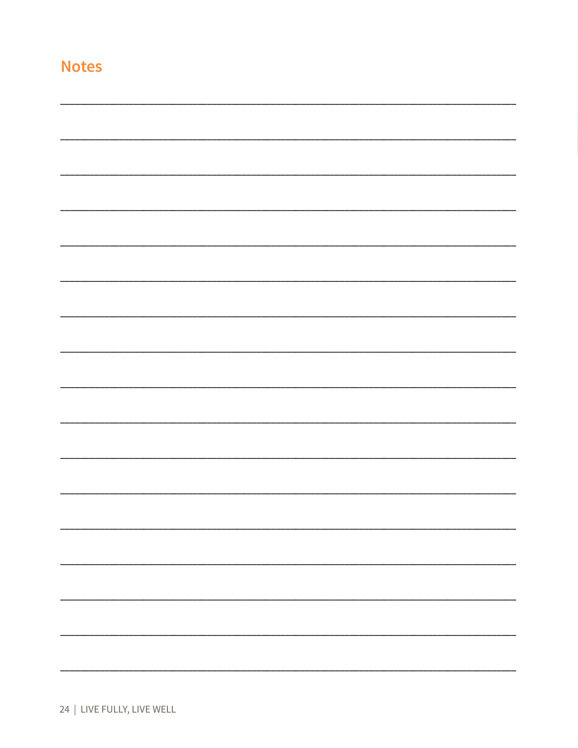| ٠ | y,      | the contract of the contract of |
|---|---------|---------------------------------|
|   | ------- |                                 |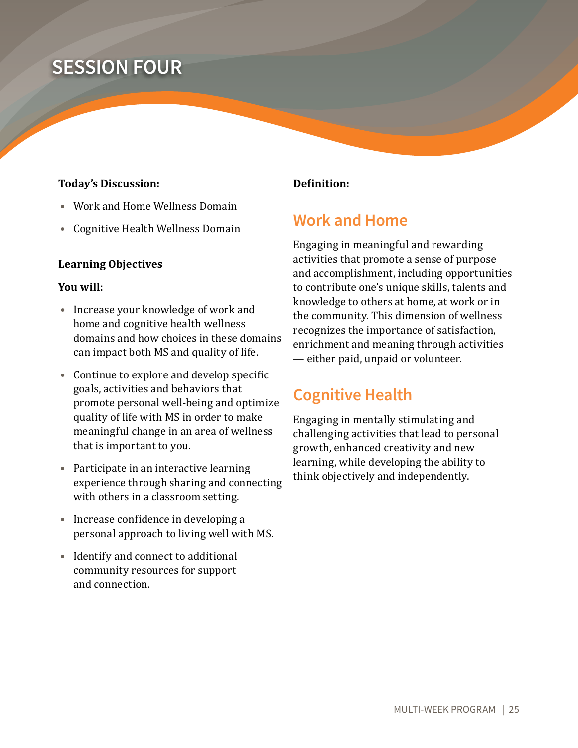# **SESSION FOUR**

#### **Today's Discussion:**

- **•** Work and Home Wellness Domain
- **•** Cognitive Health Wellness Domain

#### **Learning Objectives**

#### **You will:**

- **•** Increase your knowledge of work and home and cognitive health wellness domains and how choices in these domains can impact both MS and quality of life.
- **•** Continue to explore and develop specific goals, activities and behaviors that promote personal well-being and optimize quality of life with MS in order to make meaningful change in an area of wellness that is important to you.
- **•** Participate in an interactive learning experience through sharing and connecting with others in a classroom setting.
- **•** Increase confidence in developing a personal approach to living well with MS.
- **•** Identify and connect to additional community resources for support and connection.

#### **Definition:**

## **Work and Home**

Engaging in meaningful and rewarding activities that promote a sense of purpose and accomplishment, including opportunities to contribute one's unique skills, talents and knowledge to others at home, at work or in the community. This dimension of wellness recognizes the importance of satisfaction, enrichment and meaning through activities — either paid, unpaid or volunteer.

## **Cognitive Health**

Engaging in mentally stimulating and challenging activities that lead to personal growth, enhanced creativity and new learning, while developing the ability to think objectively and independently.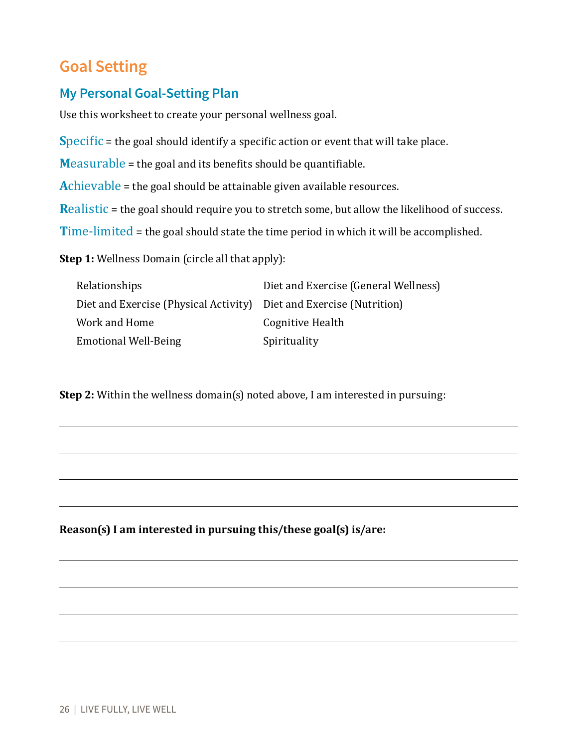# **Goal Setting**

## **My Personal Goal-Setting Plan**

Use this worksheet to create your personal wellness goal.

**S**pecific = the goal should identify a specific action or event that will take place.

**M**easurable = the goal and its benefits should be quantifiable.

**A**chievable = the goal should be attainable given available resources.

**Realistic** = the goal should require you to stretch some, but allow the likelihood of success.

**T**ime-limited = the goal should state the time period in which it will be accomplished.

**Step 1:** Wellness Domain (circle all that apply):

| <b>Relationships</b>                                                | Diet and Exercise (General Wellness) |
|---------------------------------------------------------------------|--------------------------------------|
| Diet and Exercise (Physical Activity) Diet and Exercise (Nutrition) |                                      |
| Work and Home                                                       | Cognitive Health                     |
| <b>Emotional Well-Being</b>                                         | Spirituality                         |

**Step 2:** Within the wellness domain(s) noted above, I am interested in pursuing:

**Reason(s) I am interested in pursuing this/these goal(s) is/are:**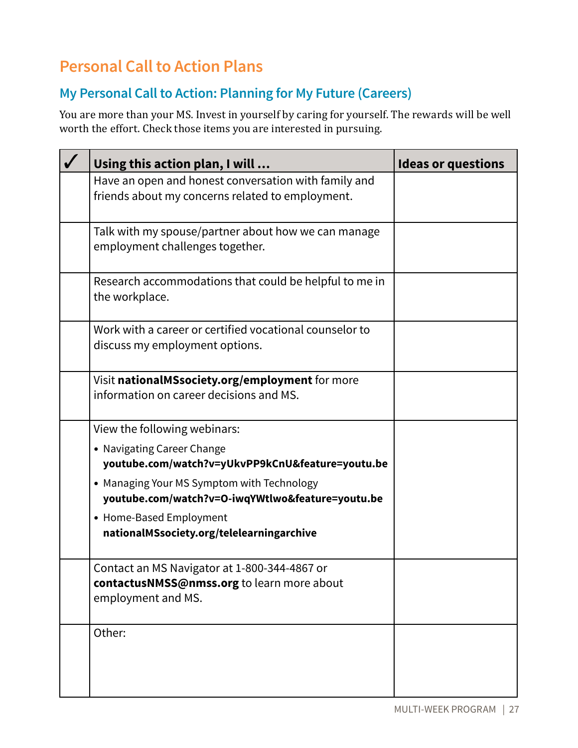# **Personal Call to Action Plans**

## **My Personal Call to Action: Planning for My Future (Careers)**

| Using this action plan, I will                                                                                                                                                                                                                                                           | <b>Ideas or questions</b> |
|------------------------------------------------------------------------------------------------------------------------------------------------------------------------------------------------------------------------------------------------------------------------------------------|---------------------------|
| Have an open and honest conversation with family and<br>friends about my concerns related to employment.                                                                                                                                                                                 |                           |
| Talk with my spouse/partner about how we can manage<br>employment challenges together.                                                                                                                                                                                                   |                           |
| Research accommodations that could be helpful to me in<br>the workplace.                                                                                                                                                                                                                 |                           |
| Work with a career or certified vocational counselor to<br>discuss my employment options.                                                                                                                                                                                                |                           |
| Visit nationalMSsociety.org/employment for more<br>information on career decisions and MS.                                                                                                                                                                                               |                           |
| View the following webinars:<br>• Navigating Career Change<br>youtube.com/watch?v=yUkvPP9kCnU&feature=youtu.be<br>• Managing Your MS Symptom with Technology<br>youtube.com/watch?v=O-iwqYWtlwo&feature=youtu.be<br>• Home-Based Employment<br>nationalMSsociety.org/telelearningarchive |                           |
| Contact an MS Navigator at 1-800-344-4867 or<br>contactusNMSS@nmss.org to learn more about<br>employment and MS.                                                                                                                                                                         |                           |
| Other:                                                                                                                                                                                                                                                                                   |                           |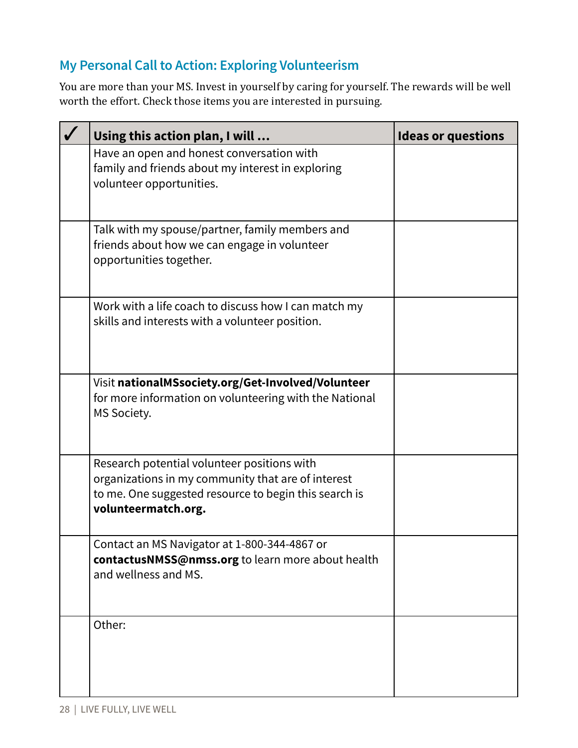## **My Personal Call to Action: Exploring Volunteerism**

| Using this action plan, I will                                                                                                                                                    | <b>Ideas or questions</b> |
|-----------------------------------------------------------------------------------------------------------------------------------------------------------------------------------|---------------------------|
| Have an open and honest conversation with<br>family and friends about my interest in exploring<br>volunteer opportunities.                                                        |                           |
| Talk with my spouse/partner, family members and<br>friends about how we can engage in volunteer<br>opportunities together.                                                        |                           |
| Work with a life coach to discuss how I can match my<br>skills and interests with a volunteer position.                                                                           |                           |
| Visit nationalMSsociety.org/Get-Involved/Volunteer<br>for more information on volunteering with the National<br>MS Society.                                                       |                           |
| Research potential volunteer positions with<br>organizations in my community that are of interest<br>to me. One suggested resource to begin this search is<br>volunteermatch.org. |                           |
| Contact an MS Navigator at 1-800-344-4867 or<br>contactusNMSS@nmss.org to learn more about health<br>and wellness and MS.                                                         |                           |
| Other:                                                                                                                                                                            |                           |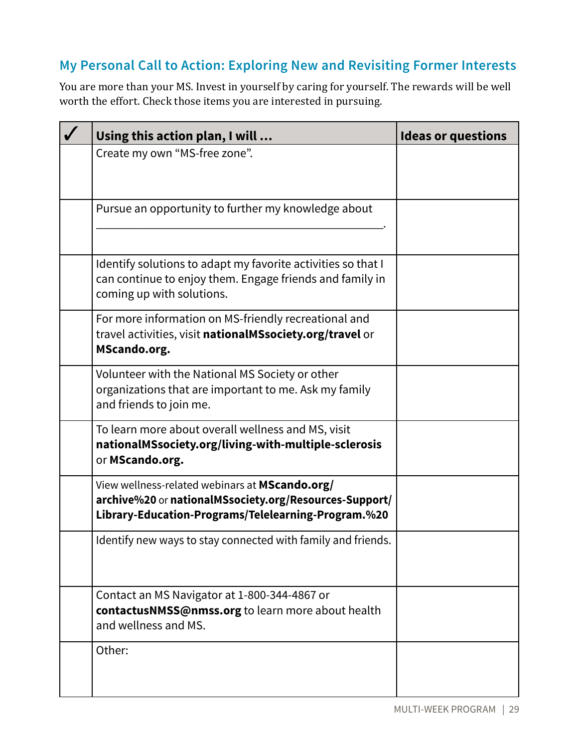## **My Personal Call to Action: Exploring New and Revisiting Former Interests**

| Using this action plan, I will                                                                                                                                  | <b>Ideas or questions</b> |
|-----------------------------------------------------------------------------------------------------------------------------------------------------------------|---------------------------|
| Create my own "MS-free zone".                                                                                                                                   |                           |
| Pursue an opportunity to further my knowledge about                                                                                                             |                           |
| Identify solutions to adapt my favorite activities so that I<br>can continue to enjoy them. Engage friends and family in<br>coming up with solutions.           |                           |
| For more information on MS-friendly recreational and<br>travel activities, visit nationalMSsociety.org/travel or<br>MScando.org.                                |                           |
| Volunteer with the National MS Society or other<br>organizations that are important to me. Ask my family<br>and friends to join me.                             |                           |
| To learn more about overall wellness and MS, visit<br>nationalMSsociety.org/living-with-multiple-sclerosis<br>or MScando.org.                                   |                           |
| View wellness-related webinars at MScando.org/<br>archive%20 or nationalMSsociety.org/Resources-Support/<br>Library-Education-Programs/Telelearning-Program.%20 |                           |
| Identify new ways to stay connected with family and friends.                                                                                                    |                           |
| Contact an MS Navigator at 1-800-344-4867 or<br>contactusNMSS@nmss.org to learn more about health<br>and wellness and MS.                                       |                           |
| Other:                                                                                                                                                          |                           |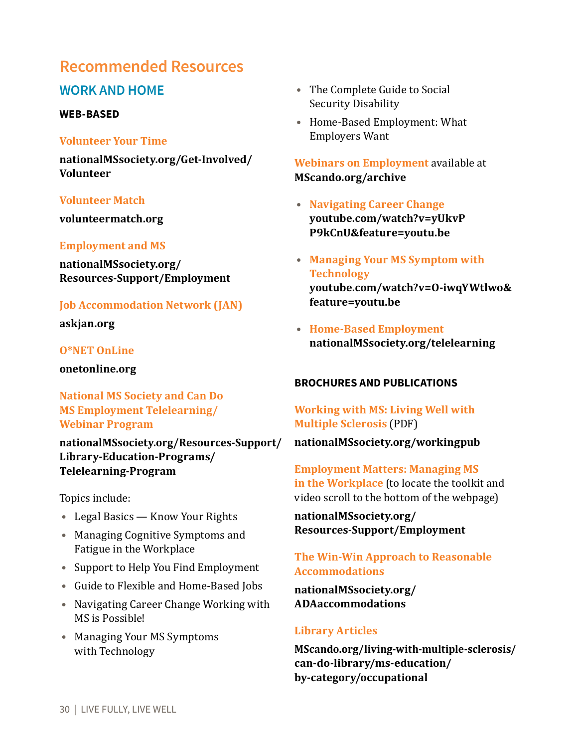## **Recommended Resources**

### **WORK AND HOME**

#### **WEB-BASED**

#### **Volunteer Your Time**

**nationalMSsociety.org/Get-Involved/ Volunteer**

#### **Volunteer Match**

**volunteermatch.org**

#### **Employment and MS**

**nationalMSsociety.org/ Resources-Support/Employment**

#### **Job Accommodation Network (JAN)**

**askjan.org** 

#### **O\*NET OnLine**

**onetonline.org** 

**National MS Society and Can Do MS Employment Telelearning/ Webinar Program**

**nationalMSsociety.org/Resources-Support/ Library-Education-Programs/ Telelearning-Program**

Topics include:

- **•** Legal Basics Know Your Rights
- **•** Managing Cognitive Symptoms and Fatigue in the Workplace
- **•** Support to Help You Find Employment
- **•** Guide to Flexible and Home-Based Jobs
- **•** Navigating Career Change Working with MS is Possible!
- **•** Managing Your MS Symptoms with Technology
- **•** The Complete Guide to Social Security Disability
- **•** Home-Based Employment: What Employers Want

**Webinars on Employment** available at **MScando.org/archive**

- **• Navigating Career Change youtube.com/watch?v=yUkvP P9kCnU&feature=youtu.be**
- **• Managing Your MS Symptom with Technology youtube.com/watch?v=O-iwqYWtlwo& feature=youtu.be**
- **• Home-Based Employment nationalMSsociety.org/telelearning**

#### **BROCHURES AND PUBLICATIONS**

**Working with MS: Living Well with Multiple Sclerosis** (PDF)

#### **nationalMSsociety.org/workingpub**

**Employment Matters: Managing MS in the Workplace** (to locate the toolkit and video scroll to the bottom of the webpage)

**nationalMSsociety.org/ Resources-Support/Employment**

#### **The Win-Win Approach to Reasonable Accommodations**

**nationalMSsociety.org/ ADAaccommodations**

#### **Library Articles**

**MScando.org/living-with-multiple-sclerosis/ can-do-library/ms-education/ by-category/occupational**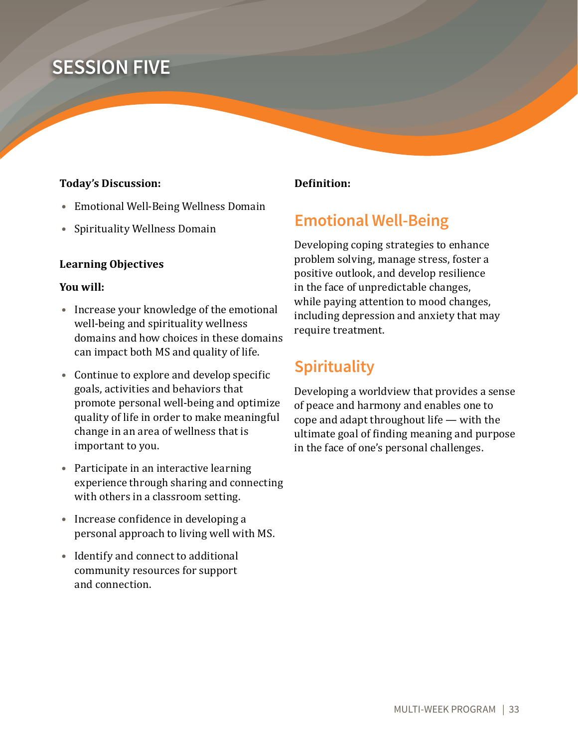# **SESSION FIVE**

#### **Today's Discussion:**

- **•** Emotional Well-Being Wellness Domain
- **•** Spirituality Wellness Domain

#### **Learning Objectives**

#### **You will:**

- **•** Increase your knowledge of the emotional well-being and spirituality wellness domains and how choices in these domains can impact both MS and quality of life.
- **•** Continue to explore and develop specific goals, activities and behaviors that promote personal well-being and optimize quality of life in order to make meaningful change in an area of wellness that is important to you.
- **•** Participate in an interactive learning experience through sharing and connecting with others in a classroom setting.
- **•** Increase confidence in developing a personal approach to living well with MS.
- **•** Identify and connect to additional community resources for support and connection.

#### **Definition:**

# **Emotional Well-Being**

Developing coping strategies to enhance problem solving, manage stress, foster a positive outlook, and develop resilience in the face of unpredictable changes, while paying attention to mood changes, including depression and anxiety that may require treatment.

# **Spirituality**

Developing a worldview that provides a sense of peace and harmony and enables one to cope and adapt throughout life — with the ultimate goal of finding meaning and purpose in the face of one's personal challenges.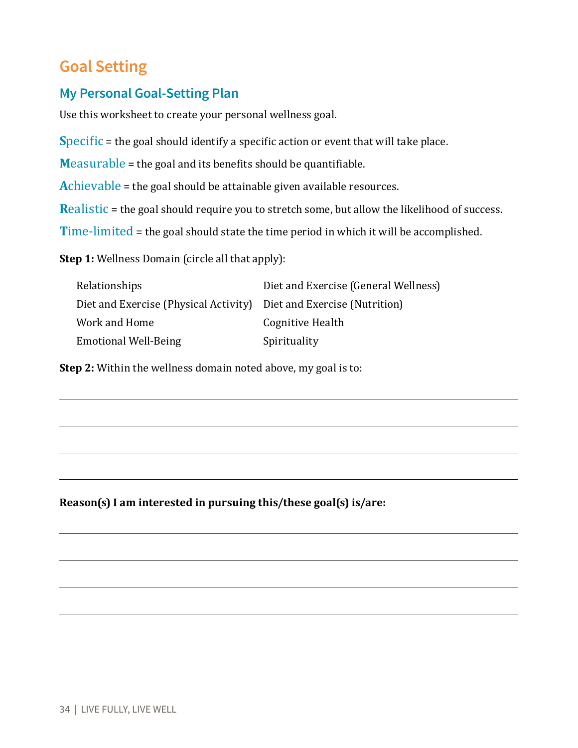# **Goal Setting**

## **My Personal Goal-Setting Plan**

Use this worksheet to create your personal wellness goal.

**Specific** = the goal should identify a specific action or event that will take place.

**M**easurable = the goal and its benefits should be quantifiable.

**A**chievable = the goal should be attainable given available resources.

**Realistic** = the goal should require you to stretch some, but allow the likelihood of success.

**T**ime-limited = the goal should state the time period in which it will be accomplished.

**Step 1:** Wellness Domain (circle all that apply):

| Relationships                                                       | Diet and Exercise (General Wellness) |
|---------------------------------------------------------------------|--------------------------------------|
| Diet and Exercise (Physical Activity) Diet and Exercise (Nutrition) |                                      |
| Work and Home                                                       | Cognitive Health                     |
| Emotional Well-Being                                                | Spirituality                         |

**Step 2:** Within the wellness domain noted above, my goal is to:

**Reason(s) I am interested in pursuing this/these goal(s) is/are:**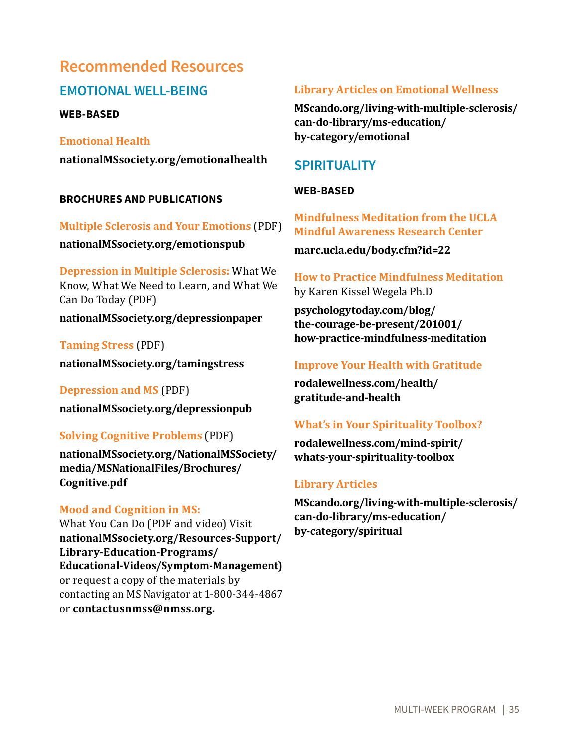# **Recommended Resources**

## **EMOTIONAL WELL-BEING**

**WEB-BASED**

**Emotional Health nationalMSsociety.org/emotionalhealth**

#### **BROCHURES AND PUBLICATIONS**

**Multiple Sclerosis and Your Emotions** (PDF) **nationalMSsociety.org/emotionspub** 

**Depression in Multiple Sclerosis:** What We Know, What We Need to Learn, and What We Can Do Today (PDF)

**nationalMSsociety.org/depressionpaper**

**Taming Stress** (PDF)

**nationalMSsociety.org/tamingstress** 

**Depression and MS** (PDF) **nationalMSsociety.org/depressionpub** 

### **Solving Cognitive Problems** (PDF)

**nationalMSsociety.org/NationalMSSociety/ media/MSNationalFiles/Brochures/ Cognitive.pdf**

### **Mood and Cognition in MS:**

What You Can Do (PDF and video) Visit **nationalMSsociety.org/Resources-Support/ Library-Education-Programs/ Educational-Videos/Symptom-Management)** or request a copy of the materials by contacting an MS Navigator at 1-800-344-4867 or **contactusnmss@nmss.org.**

#### **Library Articles on Emotional Wellness**

**MScando.org/living-with-multiple-sclerosis/ can-do-library/ms-education/ by-category/emotional**

## **SPIRITUALITY**

### **WEB-BASED**

**Mindfulness Meditation from the UCLA Mindful Awareness Research Center**

**marc.ucla.edu/body.cfm?id=22**

### **How to Practice Mindfulness Meditation** by Karen Kissel Wegela Ph.D

**psychologytoday.com/blog/ the-courage-be-present/201001/ how-practice-mindfulness-meditation**

### **Improve Your Health with Gratitude**

**rodalewellness.com/health/ gratitude-and-health**

### **What's in Your Spirituality Toolbox?**

**rodalewellness.com/mind-spirit/ whats-your-spirituality-toolbox**

### **Library Articles**

**MScando.org/living-with-multiple-sclerosis/ can-do-library/ms-education/ by-category/spiritual**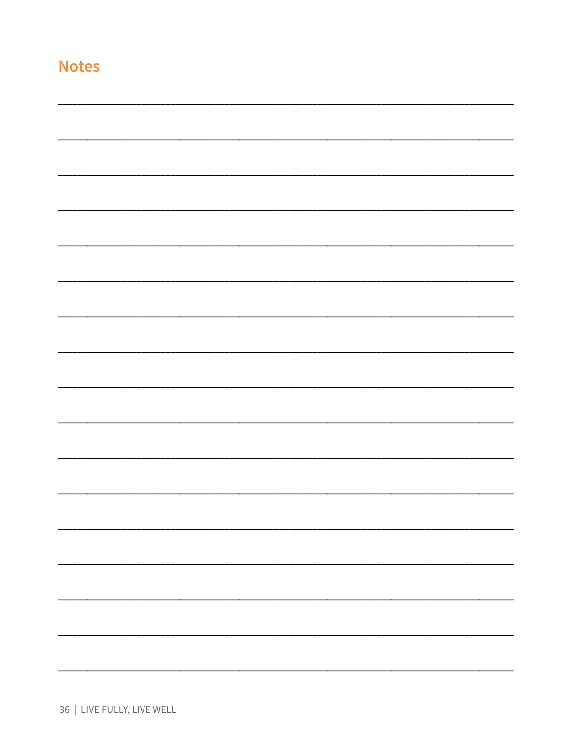|  |  | 36   LIVE FULLY, LIVE WELL |  |  |
|--|--|----------------------------|--|--|
|--|--|----------------------------|--|--|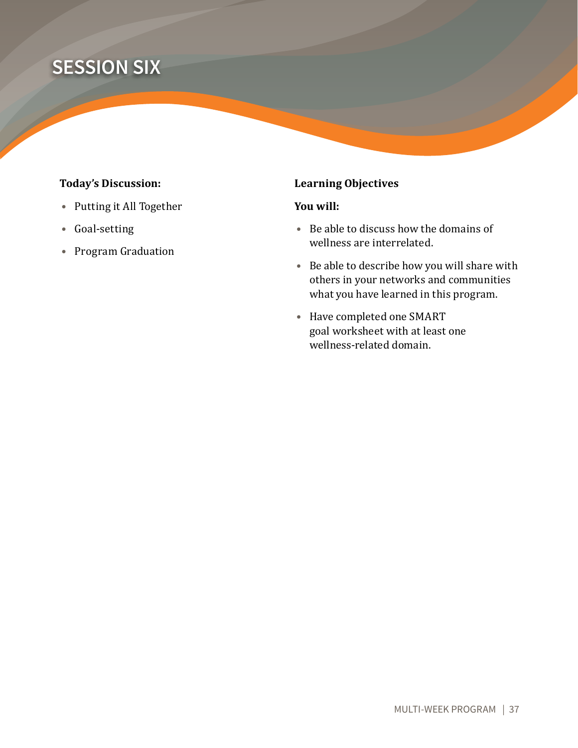# **SESSION SIX**

### **Today's Discussion:**

- **•** Putting it All Together
- **•** Goal-setting
- **•** Program Graduation

### **Learning Objectives**

#### **You will:**

- **•** Be able to discuss how the domains of wellness are interrelated.
- **•** Be able to describe how you will share with others in your networks and communities what you have learned in this program.
- **•** Have completed one SMART goal worksheet with at least one wellness-related domain.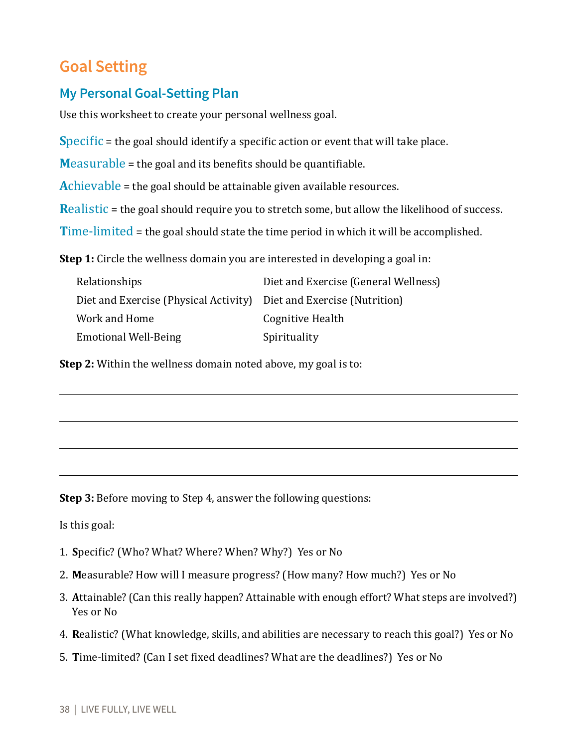# **Goal Setting**

## **My Personal Goal-Setting Plan**

Use this worksheet to create your personal wellness goal.

**S**pecific = the goal should identify a specific action or event that will take place.

**M**easurable = the goal and its benefits should be quantifiable.

**A**chievable = the goal should be attainable given available resources.

**Realistic** = the goal should require you to stretch some, but allow the likelihood of success.

**T**ime-limited = the goal should state the time period in which it will be accomplished.

**Step 1:** Circle the wellness domain you are interested in developing a goal in:

| Relationships                                                       | Diet and Exercise (General Wellness) |
|---------------------------------------------------------------------|--------------------------------------|
| Diet and Exercise (Physical Activity) Diet and Exercise (Nutrition) |                                      |
| Work and Home                                                       | Cognitive Health                     |
| <b>Emotional Well-Being</b>                                         | Spirituality                         |

**Step 2:** Within the wellness domain noted above, my goal is to:

**Step 3:** Before moving to Step 4, answer the following questions:

Is this goal:

- 1. **S**pecific? (Who? What? Where? When? Why?) Yes or No
- 2. **M**easurable? How will I measure progress? (How many? How much?) Yes or No
- 3. **A**ttainable? (Can this really happen? Attainable with enough effort? What steps are involved?) Yes or No
- 4. **R**ealistic? (What knowledge, skills, and abilities are necessary to reach this goal?) Yes or No
- 5. **T**ime-limited? (Can I set fixed deadlines? What are the deadlines?) Yes or No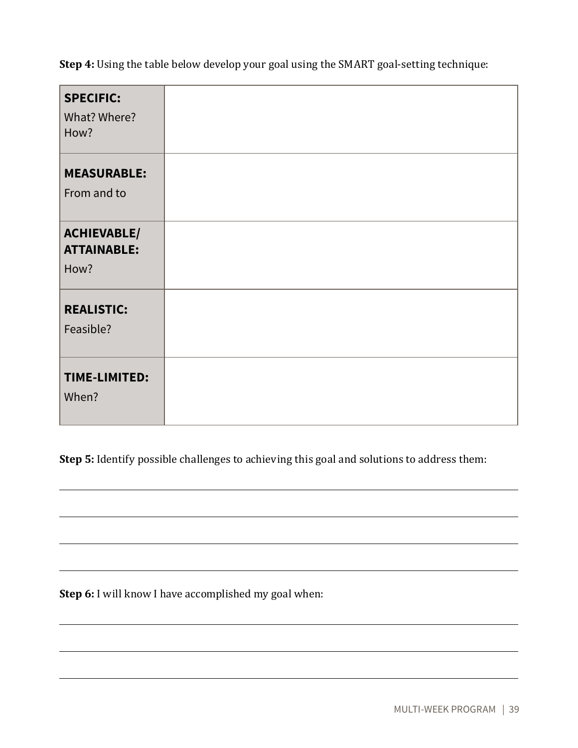**Step 4:** Using the table below develop your goal using the SMART goal-setting technique:

| <b>SPECIFIC:</b><br>What? Where?<br>How?         |  |
|--------------------------------------------------|--|
| <b>MEASURABLE:</b><br>From and to                |  |
| <b>ACHIEVABLE/</b><br><b>ATTAINABLE:</b><br>How? |  |
| <b>REALISTIC:</b><br>Feasible?                   |  |
| <b>TIME-LIMITED:</b><br>When?                    |  |

**Step 5:** Identify possible challenges to achieving this goal and solutions to address them:

**Step 6:** I will know I have accomplished my goal when: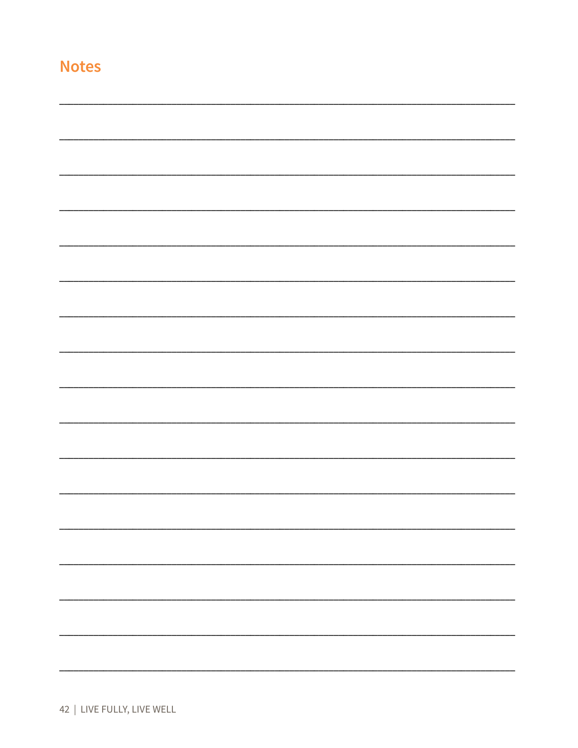|    | y,      | . . |
|----|---------|-----|
| __ | - - - - |     |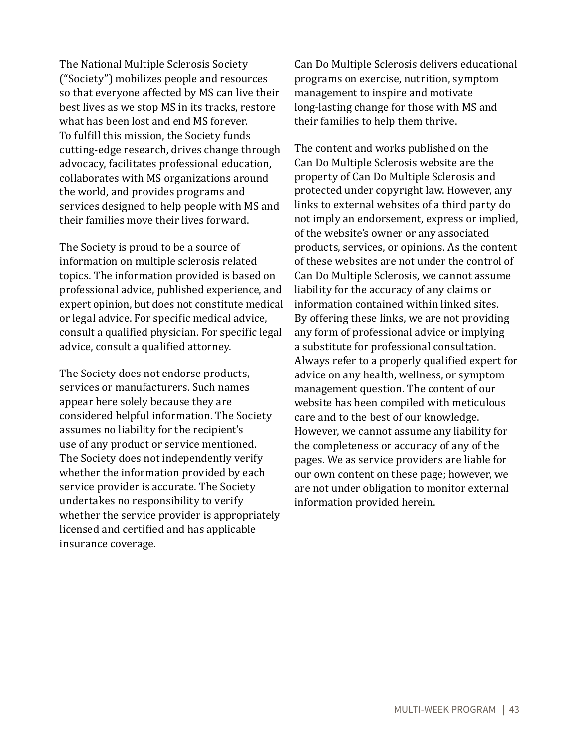The National Multiple Sclerosis Society ("Society") mobilizes people and resources so that everyone affected by MS can live their best lives as we stop MS in its tracks, restore what has been lost and end MS forever. To fulfill this mission, the Society funds cutting-edge research, drives change through advocacy, facilitates professional education, collaborates with MS organizations around the world, and provides programs and services designed to help people with MS and their families move their lives forward.

The Society is proud to be a source of information on multiple sclerosis related topics. The information provided is based on professional advice, published experience, and expert opinion, but does not constitute medical or legal advice. For specific medical advice, consult a qualified physician. For specific legal advice, consult a qualified attorney.

The Society does not endorse products, services or manufacturers. Such names appear here solely because they are considered helpful information. The Society assumes no liability for the recipient's use of any product or service mentioned. The Society does not independently verify whether the information provided by each service provider is accurate. The Society undertakes no responsibility to verify whether the service provider is appropriately licensed and certified and has applicable insurance coverage.

Can Do Multiple Sclerosis delivers educational programs on exercise, nutrition, symptom management to inspire and motivate long-lasting change for those with MS and their families to help them thrive.

The content and works published on the Can Do Multiple Sclerosis website are the property of Can Do Multiple Sclerosis and protected under copyright law. However, any links to external websites of a third party do not imply an endorsement, express or implied, of the website's owner or any associated products, services, or opinions. As the content of these websites are not under the control of Can Do Multiple Sclerosis, we cannot assume liability for the accuracy of any claims or information contained within linked sites. By offering these links, we are not providing any form of professional advice or implying a substitute for professional consultation. Always refer to a properly qualified expert for advice on any health, wellness, or symptom management question. The content of our website has been compiled with meticulous care and to the best of our knowledge. However, we cannot assume any liability for the completeness or accuracy of any of the pages. We as service providers are liable for our own content on these page; however, we are not under obligation to monitor external information provided herein.